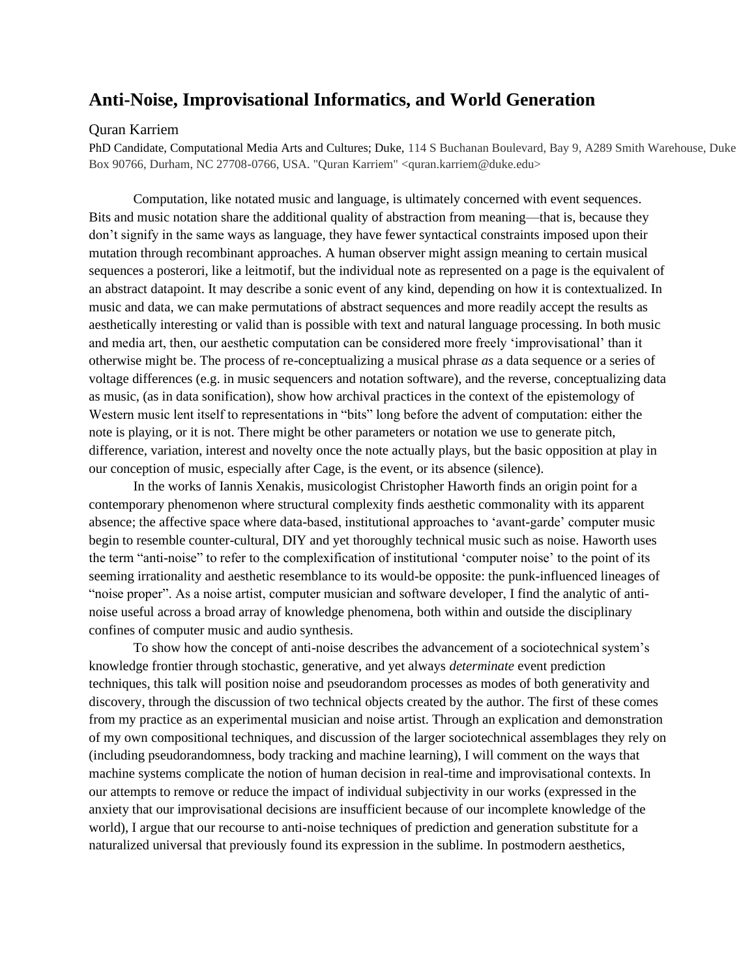## **Anti-Noise, Improvisational Informatics, and World Generation**

## Quran Karriem

PhD Candidate, Computational Media Arts and Cultures; Duke, 114 S Buchanan Boulevard, Bay 9, A289 Smith Warehouse, Duke Box 90766, Durham, NC 27708-0766, USA. "Quran Karriem" <quran.karriem@duke.edu>

Computation, like notated music and language, is ultimately concerned with event sequences. Bits and music notation share the additional quality of abstraction from meaning—that is, because they don't signify in the same ways as language, they have fewer syntactical constraints imposed upon their mutation through recombinant approaches. A human observer might assign meaning to certain musical sequences a posterori, like a leitmotif, but the individual note as represented on a page is the equivalent of an abstract datapoint. It may describe a sonic event of any kind, depending on how it is contextualized. In music and data, we can make permutations of abstract sequences and more readily accept the results as aesthetically interesting or valid than is possible with text and natural language processing. In both music and media art, then, our aesthetic computation can be considered more freely 'improvisational' than it otherwise might be. The process of re-conceptualizing a musical phrase *as* a data sequence or a series of voltage differences (e.g. in music sequencers and notation software), and the reverse, conceptualizing data as music, (as in data sonification), show how archival practices in the context of the epistemology of Western music lent itself to representations in "bits" long before the advent of computation: either the note is playing, or it is not. There might be other parameters or notation we use to generate pitch, difference, variation, interest and novelty once the note actually plays, but the basic opposition at play in our conception of music, especially after Cage, is the event, or its absence (silence).

In the works of Iannis Xenakis, musicologist Christopher Haworth finds an origin point for a contemporary phenomenon where structural complexity finds aesthetic commonality with its apparent absence; the affective space where data-based, institutional approaches to 'avant-garde' computer music begin to resemble counter-cultural, DIY and yet thoroughly technical music such as noise. Haworth uses the term "anti-noise" to refer to the complexification of institutional 'computer noise' to the point of its seeming irrationality and aesthetic resemblance to its would-be opposite: the punk-influenced lineages of "noise proper". As a noise artist, computer musician and software developer, I find the analytic of antinoise useful across a broad array of knowledge phenomena, both within and outside the disciplinary confines of computer music and audio synthesis.

To show how the concept of anti-noise describes the advancement of a sociotechnical system's knowledge frontier through stochastic, generative, and yet always *determinate* event prediction techniques, this talk will position noise and pseudorandom processes as modes of both generativity and discovery, through the discussion of two technical objects created by the author. The first of these comes from my practice as an experimental musician and noise artist. Through an explication and demonstration of my own compositional techniques, and discussion of the larger sociotechnical assemblages they rely on (including pseudorandomness, body tracking and machine learning), I will comment on the ways that machine systems complicate the notion of human decision in real-time and improvisational contexts. In our attempts to remove or reduce the impact of individual subjectivity in our works (expressed in the anxiety that our improvisational decisions are insufficient because of our incomplete knowledge of the world), I argue that our recourse to anti-noise techniques of prediction and generation substitute for a naturalized universal that previously found its expression in the sublime. In postmodern aesthetics,